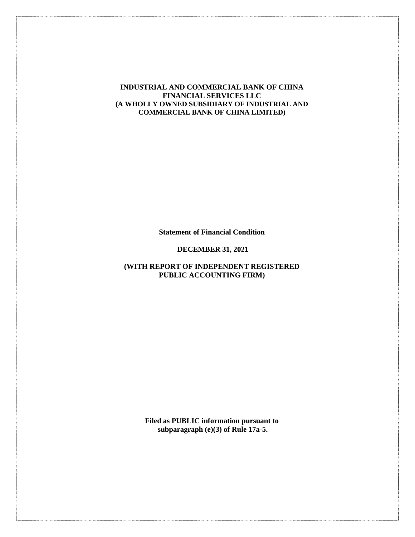#### **INDUSTRIAL AND COMMERCIAL BANK OF CHINA FINANCIAL SERVICES LLC (A WHOLLY OWNED SUBSIDIARY OF INDUSTRIAL AND COMMERCIAL BANK OF CHINA LIMITED)**

**Statement of Financial Condition**

#### **DECEMBER 31, 2021**

## **(WITH REPORT OF INDEPENDENT REGISTERED PUBLIC ACCOUNTING FIRM)**

**Filed as PUBLIC information pursuant to subparagraph (e)(3) of Rule 17a-5.**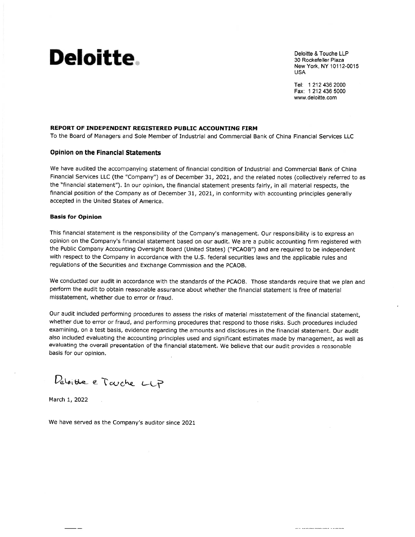# **Deloitte**

Deloitte & Touche LLP 30 Rockefeller Plaza New York, NY 10112-0015 **USA** 

Tel: 1 212 436 2000 Fax: 1 212 436 5000 www.deloitte.com

#### REPORT OF INDEPENDENT REGISTERED PUBLIC ACCOUNTING FIRM

To the Board of Managers and Sole Member of Industrial and Commercial Bank of China Financial Services LLC

#### **Opinion on the Financial Statements**

We have audited the accompanying statement of financial condition of Industrial and Commercial Bank of China Financial Services LLC (the "Company") as of December 31, 2021, and the related notes (collectively referred to as the "financial statement"). In our opinion, the financial statement presents fairly, in all material respects, the financial position of the Company as of December 31, 2021, in conformity with accounting principles generally accepted in the United States of America.

#### **Basis for Opinion**

This financial statement is the responsibility of the Company's management. Our responsibility is to express an opinion on the Company's financial statement based on our audit. We are a public accounting firm registered with the Public Company Accounting Oversight Board (United States) ("PCAOB") and are required to be independent with respect to the Company in accordance with the U.S. federal securities laws and the applicable rules and regulations of the Securities and Exchange Commission and the PCAOB.

We conducted our audit in accordance with the standards of the PCAOB. Those standards require that we plan and perform the audit to obtain reasonable assurance about whether the financial statement is free of material misstatement, whether due to error or fraud.

Our audit included performing procedures to assess the risks of material misstatement of the financial statement, whether due to error or fraud, and performing procedures that respond to those risks. Such procedures included examining, on a test basis, evidence regarding the amounts and disclosures in the financial statement. Our audit also included evaluating the accounting principles used and significant estimates made by management, as well as evaluating the overall presentation of the financial statement. We believe that our audit provides a reasonable basis for our opinion.

Deloite e Tauche LLP

March 1, 2022

We have served as the Company's auditor since 2021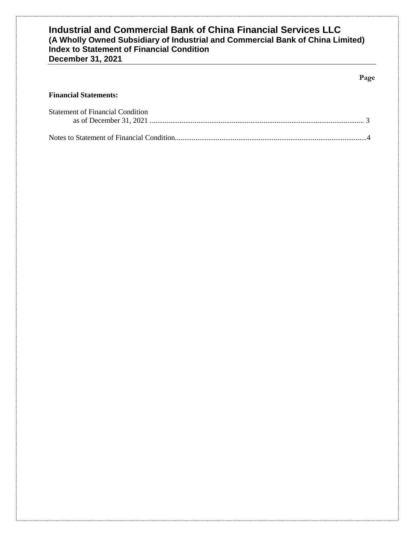#### **Page**

## **Financial Statements:**

| <b>Statement of Financial Condition</b> |  |
|-----------------------------------------|--|
|                                         |  |
|                                         |  |
|                                         |  |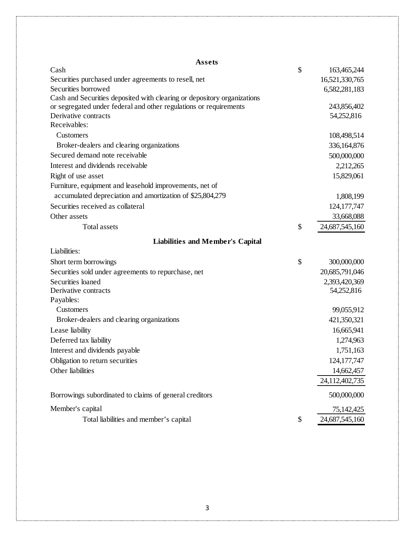| Assets                                                                  |                             |
|-------------------------------------------------------------------------|-----------------------------|
| Cash                                                                    | \$<br>163,465,244           |
| Securities purchased under agreements to resell, net                    | 16,521,330,765              |
| Securities borrowed                                                     | 6,582,281,183               |
| Cash and Securities deposited with clearing or depository organizations |                             |
| or segregated under federal and other regulations or requirements       | 243,856,402                 |
| Derivative contracts                                                    | 54,252,816                  |
| Receivables:                                                            |                             |
| Customers                                                               | 108,498,514                 |
| Broker-dealers and clearing organizations                               | 336,164,876                 |
| Secured demand note receivable                                          | 500,000,000                 |
| Interest and dividends receivable                                       | 2,212,265                   |
| Right of use asset                                                      | 15,829,061                  |
| Furniture, equipment and leasehold improvements, net of                 |                             |
| accumulated depreciation and amortization of \$25,804,279               | 1,808,199                   |
| Securities received as collateral                                       | 124, 177, 747               |
| Other assets                                                            | 33,668,088                  |
| <b>Total assets</b>                                                     | \$<br>24,687,545,160        |
| <b>Liabilities and Member's Capital</b>                                 |                             |
| Liabilities:                                                            |                             |
| Short term borrowings                                                   | \$<br>300,000,000           |
|                                                                         |                             |
| Securities sold under agreements to repurchase, net                     | 20,685,791,046              |
| Securities loaned<br>Derivative contracts                               | 2,393,420,369<br>54,252,816 |
| Payables:                                                               |                             |
| Customers                                                               | 99,055,912                  |
| Broker-dealers and clearing organizations                               | 421,350,321                 |
| Lease liability                                                         | 16,665,941                  |
|                                                                         |                             |
| Deferred tax liability                                                  | 1,274,963                   |
| Interest and dividends payable                                          | 1,751,163                   |
| Obligation to return securities                                         | 124, 177, 747               |
| Other liabilities                                                       | 14,662,457                  |
|                                                                         | 24,112,402,735              |
| Borrowings subordinated to claims of general creditors                  | 500,000,000                 |
| Member's capital                                                        | 75,142,425                  |
| Total liabilities and member's capital                                  | \$<br>24,687,545,160        |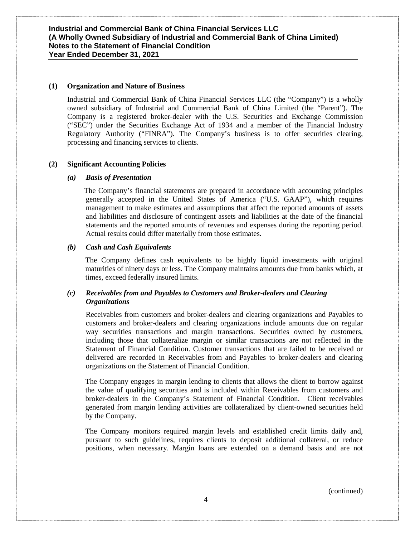#### **(1) Organization and Nature of Business**

Industrial and Commercial Bank of China Financial Services LLC (the "Company") is a wholly owned subsidiary of Industrial and Commercial Bank of China Limited (the "Parent"). The Company is a registered broker-dealer with the U.S. Securities and Exchange Commission ("SEC") under the Securities Exchange Act of 1934 and a member of the Financial Industry Regulatory Authority ("FINRA"). The Company's business is to offer securities clearing, processing and financing services to clients.

#### **(2) Significant Accounting Policies**

#### *(a) Basis of Presentation*

 The Company's financial statements are prepared in accordance with accounting principles generally accepted in the United States of America ("U.S. GAAP"), which requires management to make estimates and assumptions that affect the reported amounts of assets and liabilities and disclosure of contingent assets and liabilities at the date of the financial statements and the reported amounts of revenues and expenses during the reporting period. Actual results could differ materially from those estimates.

#### *(b) Cash and Cash Equivalents*

The Company defines cash equivalents to be highly liquid investments with original maturities of ninety days or less. The Company maintains amounts due from banks which, at times, exceed federally insured limits.

#### *(c) Receivables from and Payables to Customers and Broker-dealers and Clearing Organizations*

Receivables from customers and broker-dealers and clearing organizations and Payables to customers and broker-dealers and clearing organizations include amounts due on regular way securities transactions and margin transactions. Securities owned by customers, including those that collateralize margin or similar transactions are not reflected in the Statement of Financial Condition. Customer transactions that are failed to be received or delivered are recorded in Receivables from and Payables to broker-dealers and clearing organizations on the Statement of Financial Condition.

The Company engages in margin lending to clients that allows the client to borrow against the value of qualifying securities and is included within Receivables from customers and broker-dealers in the Company's Statement of Financial Condition. Client receivables generated from margin lending activities are collateralized by client-owned securities held by the Company.

The Company monitors required margin levels and established credit limits daily and, pursuant to such guidelines, requires clients to deposit additional collateral, or reduce positions, when necessary. Margin loans are extended on a demand basis and are not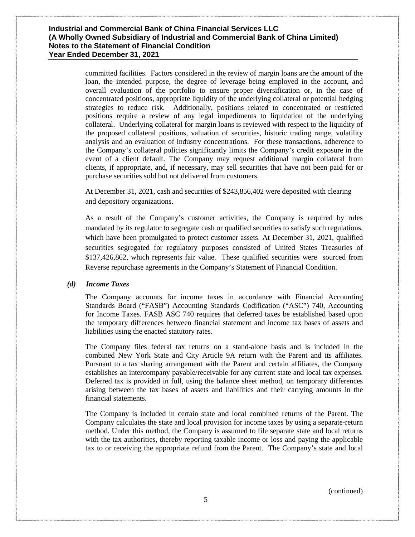committed facilities. Factors considered in the review of margin loans are the amount of the loan, the intended purpose, the degree of leverage being employed in the account, and overall evaluation of the portfolio to ensure proper diversification or, in the case of concentrated positions, appropriate liquidity of the underlying collateral or potential hedging strategies to reduce risk. Additionally, positions related to concentrated or restricted positions require a review of any legal impediments to liquidation of the underlying collateral. Underlying collateral for margin loans is reviewed with respect to the liquidity of the proposed collateral positions, valuation of securities, historic trading range, volatility analysis and an evaluation of industry concentrations. For these transactions, adherence to the Company's collateral policies significantly limits the Company's credit exposure in the event of a client default. The Company may request additional margin collateral from clients, if appropriate, and, if necessary, may sell securities that have not been paid for or purchase securities sold but not delivered from customers.

At December 31, 2021, cash and securities of \$243,856,402 were deposited with clearing and depository organizations.

As a result of the Company's customer activities, the Company is required by rules mandated by its regulator to segregate cash or qualified securities to satisfy such regulations, which have been promulgated to protect customer assets. At December 31, 2021, qualified securities segregated for regulatory purposes consisted of United States Treasuries of \$137,426,862, which represents fair value. These qualified securities were sourced from Reverse repurchase agreements in the Company's Statement of Financial Condition.

#### *(d) Income Taxes*

The Company accounts for income taxes in accordance with Financial Accounting Standards Board ("FASB") Accounting Standards Codification ("ASC") 740, Accounting for Income Taxes. FASB ASC 740 requires that deferred taxes be established based upon the temporary differences between financial statement and income tax bases of assets and liabilities using the enacted statutory rates.

The Company files federal tax returns on a stand-alone basis and is included in the combined New York State and City Article 9A return with the Parent and its affiliates. Pursuant to a tax sharing arrangement with the Parent and certain affiliates, the Company establishes an intercompany payable/receivable for any current state and local tax expenses. Deferred tax is provided in full, using the balance sheet method, on temporary differences arising between the tax bases of assets and liabilities and their carrying amounts in the financial statements.

The Company is included in certain state and local combined returns of the Parent. The Company calculates the state and local provision for income taxes by using a separate-return method. Under this method, the Company is assumed to file separate state and local returns with the tax authorities, thereby reporting taxable income or loss and paying the applicable tax to or receiving the appropriate refund from the Parent. The Company's state and local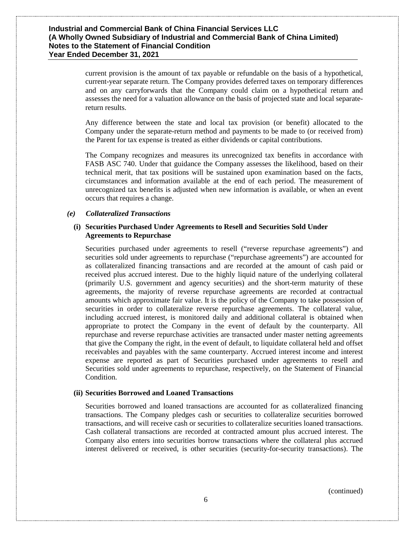current provision is the amount of tax payable or refundable on the basis of a hypothetical, current-year separate return. The Company provides deferred taxes on temporary differences and on any carryforwards that the Company could claim on a hypothetical return and assesses the need for a valuation allowance on the basis of projected state and local separatereturn results.

Any difference between the state and local tax provision (or benefit) allocated to the Company under the separate-return method and payments to be made to (or received from) the Parent for tax expense is treated as either dividends or capital contributions.

The Company recognizes and measures its unrecognized tax benefits in accordance with FASB ASC 740. Under that guidance the Company assesses the likelihood, based on their technical merit, that tax positions will be sustained upon examination based on the facts, circumstances and information available at the end of each period. The measurement of unrecognized tax benefits is adjusted when new information is available, or when an event occurs that requires a change.

#### *(e) Collateralized Transactions*

#### **(i) Securities Purchased Under Agreements to Resell and Securities Sold Under Agreements to Repurchase**

Securities purchased under agreements to resell ("reverse repurchase agreements") and securities sold under agreements to repurchase ("repurchase agreements") are accounted for as collateralized financing transactions and are recorded at the amount of cash paid or received plus accrued interest. Due to the highly liquid nature of the underlying collateral (primarily U.S. government and agency securities) and the short-term maturity of these agreements, the majority of reverse repurchase agreements are recorded at contractual amounts which approximate fair value. It is the policy of the Company to take possession of securities in order to collateralize reverse repurchase agreements. The collateral value, including accrued interest, is monitored daily and additional collateral is obtained when appropriate to protect the Company in the event of default by the counterparty. All repurchase and reverse repurchase activities are transacted under master netting agreements that give the Company the right, in the event of default, to liquidate collateral held and offset receivables and payables with the same counterparty. Accrued interest income and interest expense are reported as part of Securities purchased under agreements to resell and Securities sold under agreements to repurchase, respectively, on the Statement of Financial Condition.

#### **(ii) Securities Borrowed and Loaned Transactions**

Securities borrowed and loaned transactions are accounted for as collateralized financing transactions. The Company pledges cash or securities to collateralize securities borrowed transactions, and will receive cash or securities to collateralize securities loaned transactions. Cash collateral transactions are recorded at contracted amount plus accrued interest. The Company also enters into securities borrow transactions where the collateral plus accrued interest delivered or received, is other securities (security-for-security transactions). The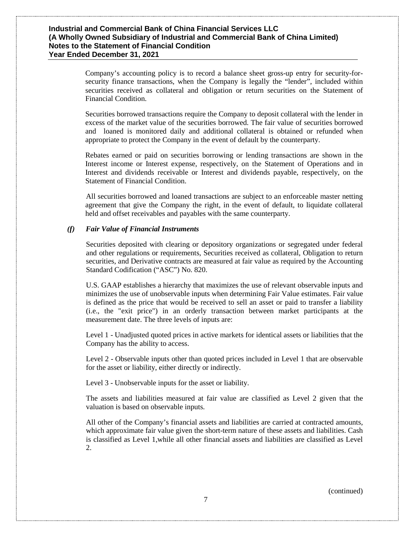Company's accounting policy is to record a balance sheet gross-up entry for security-forsecurity finance transactions, when the Company is legally the "lender", included within securities received as collateral and obligation or return securities on the Statement of Financial Condition.

Securities borrowed transactions require the Company to deposit collateral with the lender in excess of the market value of the securities borrowed. The fair value of securities borrowed and loaned is monitored daily and additional collateral is obtained or refunded when appropriate to protect the Company in the event of default by the counterparty.

Rebates earned or paid on securities borrowing or lending transactions are shown in the Interest income or Interest expense, respectively, on the Statement of Operations and in Interest and dividends receivable or Interest and dividends payable, respectively, on the Statement of Financial Condition.

All securities borrowed and loaned transactions are subject to an enforceable master netting agreement that give the Company the right, in the event of default, to liquidate collateral held and offset receivables and payables with the same counterparty.

#### *(f) Fair Value of Financial Instruments*

Securities deposited with clearing or depository organizations or segregated under federal and other regulations or requirements, Securities received as collateral, Obligation to return securities, and Derivative contracts are measured at fair value as required by the Accounting Standard Codification ("ASC") No. 820.

U.S. GAAP establishes a hierarchy that maximizes the use of relevant observable inputs and minimizes the use of unobservable inputs when determining Fair Value estimates. Fair value is defined as the price that would be received to sell an asset or paid to transfer a liability (i.e., the "exit price") in an orderly transaction between market participants at the measurement date. The three levels of inputs are:

Level 1 - Unadjusted quoted prices in active markets for identical assets or liabilities that the Company has the ability to access.

Level 2 - Observable inputs other than quoted prices included in Level 1 that are observable for the asset or liability, either directly or indirectly.

Level 3 - Unobservable inputs for the asset or liability.

The assets and liabilities measured at fair value are classified as Level 2 given that the valuation is based on observable inputs.

All other of the Company's financial assets and liabilities are carried at contracted amounts, which approximate fair value given the short-term nature of these assets and liabilities. Cash is classified as Level 1,while all other financial assets and liabilities are classified as Level 2.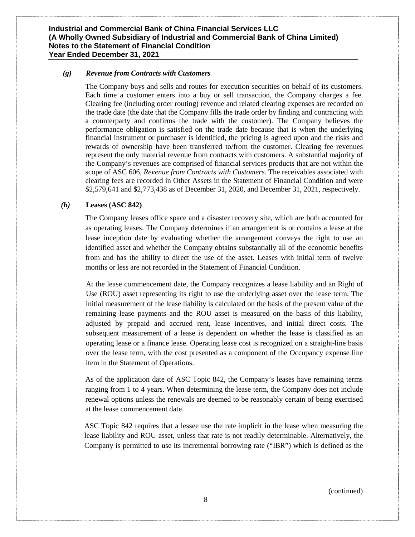#### *(g) Revenue from Contracts with Customers*

The Company buys and sells and routes for execution securities on behalf of its customers. Each time a customer enters into a buy or sell transaction, the Company charges a fee. Clearing fee (including order routing) revenue and related clearing expenses are recorded on the trade date (the date that the Company fills the trade order by finding and contracting with a counterparty and confirms the trade with the customer). The Company believes the performance obligation is satisfied on the trade date because that is when the underlying financial instrument or purchaser is identified, the pricing is agreed upon and the risks and rewards of ownership have been transferred to/from the customer. Clearing fee revenues represent the only material revenue from contracts with customers. A substantial majority of the Company's revenues are comprised of financial services products that are not within the scope of ASC 606, *Revenue from Contracts with Customers.* The receivables associated with clearing fees are recorded in Other Assets in the Statement of Financial Condition and were \$2,579,641 and \$2,773,438 as of December 31, 2020, and December 31, 2021, respectively.

#### *(h)* **Leases (ASC 842)**

The Company leases office space and a disaster recovery site, which are both accounted for as operating leases. The Company determines if an arrangement is or contains a lease at the lease inception date by evaluating whether the arrangement conveys the right to use an identified asset and whether the Company obtains substantially all of the economic benefits from and has the ability to direct the use of the asset. Leases with initial term of twelve months or less are not recorded in the Statement of Financial Condition.

At the lease commencement date, the Company recognizes a lease liability and an Right of Use (ROU) asset representing its right to use the underlying asset over the lease term. The initial measurement of the lease liability is calculated on the basis of the present value of the remaining lease payments and the ROU asset is measured on the basis of this liability, adjusted by prepaid and accrued rent, lease incentives, and initial direct costs. The subsequent measurement of a lease is dependent on whether the lease is classified as an operating lease or a finance lease. Operating lease cost is recognized on a straight-line basis over the lease term, with the cost presented as a component of the Occupancy expense line item in the Statement of Operations.

As of the application date of ASC Topic 842, the Company's leases have remaining terms ranging from 1 to 4 years. When determining the lease term, the Company does not include renewal options unless the renewals are deemed to be reasonably certain of being exercised at the lease commencement date.

ASC Topic 842 requires that a lessee use the rate implicit in the lease when measuring the lease liability and ROU asset, unless that rate is not readily determinable. Alternatively, the Company is permitted to use its incremental borrowing rate ("IBR") which is defined as the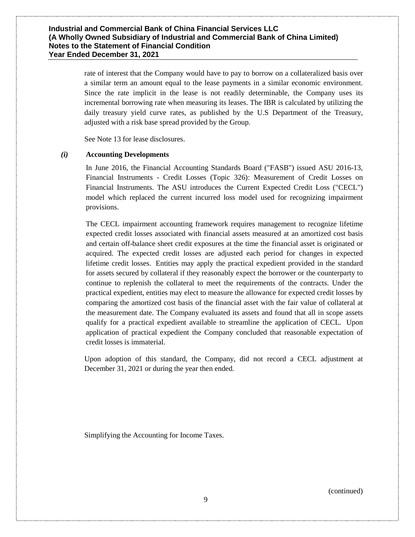rate of interest that the Company would have to pay to borrow on a collateralized basis over a similar term an amount equal to the lease payments in a similar economic environment. Since the rate implicit in the lease is not readily determinable, the Company uses its incremental borrowing rate when measuring its leases. The IBR is calculated by utilizing the daily treasury yield curve rates, as published by the U.S Department of the Treasury, adjusted with a risk base spread provided by the Group.

See Note 13 for lease disclosures.

#### *(i)* **Accounting Developments**

In June 2016, the Financial Accounting Standards Board ("FASB") issued ASU 2016-13, Financial Instruments - Credit Losses (Topic 326): Measurement of Credit Losses on Financial Instruments. The ASU introduces the Current Expected Credit Loss ("CECL") model which replaced the current incurred loss model used for recognizing impairment provisions.

The CECL impairment accounting framework requires management to recognize lifetime expected credit losses associated with financial assets measured at an amortized cost basis and certain off-balance sheet credit exposures at the time the financial asset is originated or acquired. The expected credit losses are adjusted each period for changes in expected lifetime credit losses. Entities may apply the practical expedient provided in the standard for assets secured by collateral if they reasonably expect the borrower or the counterparty to continue to replenish the collateral to meet the requirements of the contracts. Under the practical expedient, entities may elect to measure the allowance for expected credit losses by comparing the amortized cost basis of the financial asset with the fair value of collateral at the measurement date. The Company evaluated its assets and found that all in scope assets qualify for a practical expedient available to streamline the application of CECL. Upon application of practical expedient the Company concluded that reasonable expectation of credit losses is immaterial.

Upon adoption of this standard, the Company, did not record a CECL adjustment at December 31, 2021 or during the year then ended.

Simplifying the Accounting for Income Taxes.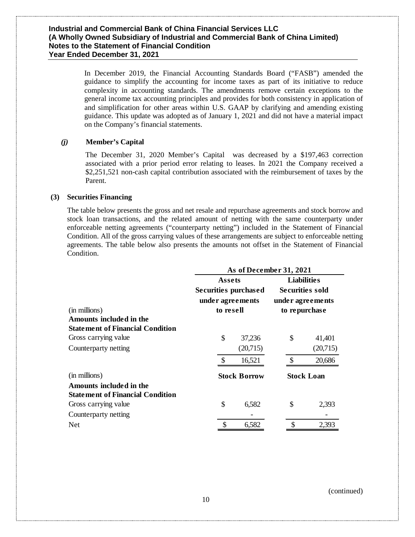In December 2019, the Financial Accounting Standards Board ("FASB") amended the guidance to simplify the accounting for income taxes as part of its initiative to reduce complexity in accounting standards. The amendments remove certain exceptions to the general income tax accounting principles and provides for both consistency in application of and simplification for other areas within U.S. GAAP by clarifying and amending existing guidance. This update was adopted as of January 1, 2021 and did not have a material impact on the Company's financial statements.

#### *(j)* **Member's Capital**

The December 31, 2020 Member's Capital was decreased by a \$197,463 correction associated with a prior period error relating to leases. In 2021 the Company received a \$2,251,521 non-cash capital contribution associated with the reimbursement of taxes by the Parent.

#### **(3) Securities Financing**

The table below presents the gross and net resale and repurchase agreements and stock borrow and stock loan transactions, and the related amount of netting with the same counterparty under enforceable netting agreements ("counterparty netting") included in the Statement of Financial Condition. All of the gross carrying values of these arrangements are subject to enforceable netting agreements. The table below also presents the amounts not offset in the Statement of Financial Condition.

|                                         | As of December 31, 2021       |    |                      |               |                                     |  |  |  |
|-----------------------------------------|-------------------------------|----|----------------------|---------------|-------------------------------------|--|--|--|
|                                         | Assets                        |    |                      |               | <b>Liabilities</b>                  |  |  |  |
|                                         |                               |    | Securities purchased |               | Securities sold<br>under agreements |  |  |  |
| (in millions)                           | under agreements<br>to resell |    |                      | to repurchase |                                     |  |  |  |
| Amounts included in the                 |                               |    |                      |               |                                     |  |  |  |
| <b>Statement of Financial Condition</b> |                               |    |                      |               |                                     |  |  |  |
| Gross carrying value                    |                               | \$ | 37,236               | \$            | 41,401                              |  |  |  |
| Counterparty netting                    |                               |    | (20,715)             |               | (20,715)                            |  |  |  |
|                                         |                               | \$ | 16,521               | $\mathcal{S}$ | 20,686                              |  |  |  |
| (in millions)                           |                               |    | <b>Stock Borrow</b>  |               | <b>Stock Loan</b>                   |  |  |  |
| Amounts included in the                 |                               |    |                      |               |                                     |  |  |  |
| <b>Statement of Financial Condition</b> |                               |    |                      |               |                                     |  |  |  |
| Gross carrying value                    |                               | \$ | 6,582                | \$            | 2,393                               |  |  |  |
| Counterparty netting                    |                               |    |                      |               |                                     |  |  |  |
| <b>Net</b>                              |                               | \$ | 6,582                | \$            | 2,393                               |  |  |  |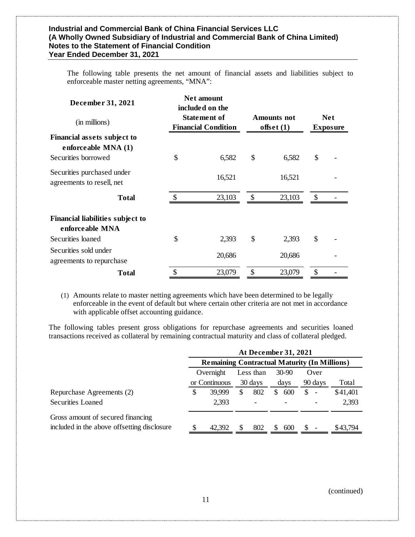| The following table presents the net amount of financial assets and liabilities subject to |  |  |  |  |  |  |
|--------------------------------------------------------------------------------------------|--|--|--|--|--|--|
| enforceable master netting agreements, "MNA":                                              |  |  |  |  |  |  |

| December 31, 2021                                                         |               | Net amount<br>included on the                     |                                    |               |                               |
|---------------------------------------------------------------------------|---------------|---------------------------------------------------|------------------------------------|---------------|-------------------------------|
| (in millions)                                                             |               | <b>Statement of</b><br><b>Financial Condition</b> | <b>Amounts</b> not<br>offset $(1)$ |               | <b>Net</b><br><b>Exposure</b> |
| Financial assets subject to<br>enforceable MNA (1)<br>Securities borrowed | \$            | 6,582                                             | \$<br>6,582                        | \$            |                               |
| Securities purchased under<br>agreements to resell, net                   |               | 16,521                                            | 16,521                             |               |                               |
| <b>Total</b>                                                              |               | 23,103                                            | \$<br>23,103                       | $\mathcal{S}$ |                               |
| <b>Financial liabilities subject to</b><br>enforceable MNA                |               |                                                   |                                    |               |                               |
| Securities loaned                                                         | \$            | 2,393                                             | \$<br>2,393                        | \$            |                               |
| Securities sold under<br>agreements to repurchase                         |               | 20,686                                            | 20,686                             |               |                               |
| <b>Total</b>                                                              | $\mathcal{S}$ | 23,079                                            | \$<br>23,079                       | \$            |                               |

(1) Amounts relate to master netting agreements which have been determined to be legally enforceable in the event of default but where certain other criteria are not met in accordance with applicable offset accounting guidance.

The following tables present gross obligations for repurchase agreements and securities loaned transactions received as collateral by remaining contractual maturity and class of collateral pledged.

|                                             |                                                     |   | <b>At December 31, 2021</b> |   |           |               |                          |          |
|---------------------------------------------|-----------------------------------------------------|---|-----------------------------|---|-----------|---------------|--------------------------|----------|
|                                             | <b>Remaining Contractual Maturity (In Millions)</b> |   |                             |   |           |               |                          |          |
|                                             | Overnight                                           |   | Less than                   |   | $30 - 90$ |               | Over                     |          |
|                                             | or Continuous                                       |   | 30 days                     |   | days      |               | 90 days                  | Total    |
| Repurchase Agreements (2)                   | \$<br>39.999                                        | S | 802                         | S | 600       | \$.           | $\overline{\phantom{a}}$ | \$41,401 |
| Securities Loaned                           | 2,393                                               |   |                             |   |           |               |                          | 2,393    |
| Gross amount of secured financing           |                                                     |   |                             |   |           |               |                          |          |
| included in the above offsetting disclosure | 42,392                                              | S | 802                         | S | 600       | <sup>\$</sup> |                          | \$43,794 |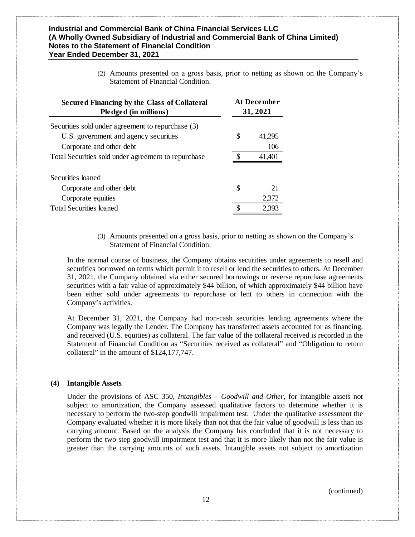(2) Amounts presented on a gross basis, prior to netting as shown on the Company's Statement of Financial Condition.

| <b>Secured Financing by the Class of Collateral</b><br>Pledged (in millions) | <b>At December</b><br>31, 2021 |        |  |  |
|------------------------------------------------------------------------------|--------------------------------|--------|--|--|
| Securities sold under agreement to repurchase (3)                            |                                |        |  |  |
| U.S. government and agency securities                                        | S                              | 41.295 |  |  |
| Corporate and other debt                                                     |                                | 106    |  |  |
| Total Securities sold under agreement to repurchase                          |                                | 41,401 |  |  |
| Securities loaned                                                            |                                |        |  |  |
| Corporate and other debt                                                     | S                              | 21     |  |  |
| Corporate equities                                                           |                                | 2,372  |  |  |
| <b>Total Securities loaned</b>                                               |                                | 2,393  |  |  |

(3) Amounts presented on a gross basis, prior to netting as shown on the Company's Statement of Financial Condition.

In the normal course of business, the Company obtains securities under agreements to resell and securities borrowed on terms which permit it to resell or lend the securities to others. At December 31, 2021, the Company obtained via either secured borrowings or reverse repurchase agreements securities with a fair value of approximately \$44 billion, of which approximately \$44 billion have been either sold under agreements to repurchase or lent to others in connection with the Company's activities.

At December 31, 2021, the Company had non-cash securities lending agreements where the Company was legally the Lender. The Company has transferred assets accounted for as financing, and received (U.S. equities) as collateral. The fair value of the collateral received is recorded in the Statement of Financial Condition as "Securities received as collateral" and "Obligation to return collateral" in the amount of \$124,177,747.

#### **(4) Intangible Assets**

Under the provisions of ASC 350*, Intangibles – Goodwill and Other*, for intangible assets not subject to amortization, the Company assessed qualitative factors to determine whether it is necessary to perform the two-step goodwill impairment test. Under the qualitative assessment the Company evaluated whether it is more likely than not that the fair value of goodwill is less than its carrying amount. Based on the analysis the Company has concluded that it is not necessary to perform the two-step goodwill impairment test and that it is more likely than not the fair value is greater than the carrying amounts of such assets. Intangible assets not subject to amortization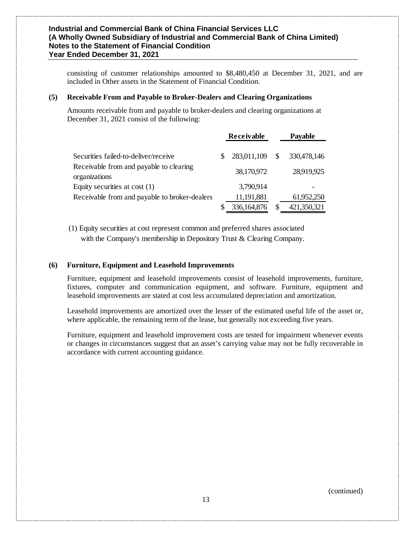consisting of customer relationships amounted to \$8,480,450 at December 31, 2021, and are included in Other assets in the Statement of Financial Condition.

#### **(5) Receivable From and Payable to Broker-Dealers and Clearing Organizations**

Amounts receivable from and payable to broker-dealers and clearing organizations at December 31, 2021 consist of the following:

|                                                                                                  | Receivable |                           |     | <b>Payable</b>            |
|--------------------------------------------------------------------------------------------------|------------|---------------------------|-----|---------------------------|
| Securities failed-to-deliver/receive<br>Receivable from and payable to clearing<br>organizations |            | 283,011,109<br>38,170,972 | \$. | 330,478,146<br>28,919,925 |
| Equity securities at cost $(1)$<br>Receivable from and payable to broker-dealers                 |            | 3,790,914<br>11,191,881   |     | 61,952,250                |
|                                                                                                  |            | 336,164,876               | S   | 421,350,321               |

(1) Equity securities at cost represent common and preferred shares associated with the Company's membership in Depository Trust & Clearing Company.

#### **(6) Furniture, Equipment and Leasehold Improvements**

Furniture, equipment and leasehold improvements consist of leasehold improvements, furniture, fixtures, computer and communication equipment, and software. Furniture, equipment and leasehold improvements are stated at cost less accumulated depreciation and amortization.

Leasehold improvements are amortized over the lesser of the estimated useful life of the asset or, where applicable, the remaining term of the lease, but generally not exceeding five years.

Furniture, equipment and leasehold improvement costs are tested for impairment whenever events or changes in circumstances suggest that an asset's carrying value may not be fully recoverable in accordance with current accounting guidance.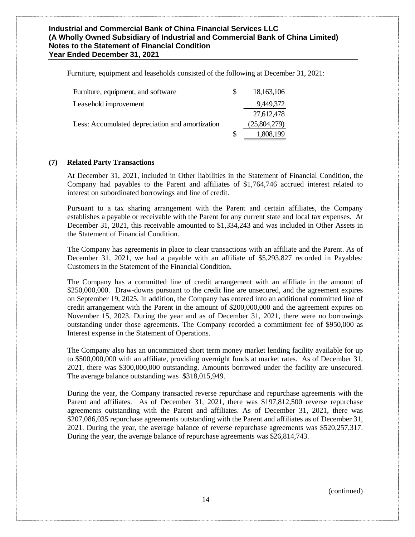Furniture, equipment and leaseholds consisted of the following at December 31, 2021:

| Furniture, equipment, and software              | S | 18,163,106   |
|-------------------------------------------------|---|--------------|
| Leasehold improvement                           |   | 9,449,372    |
|                                                 |   | 27,612,478   |
| Less: Accumulated depreciation and amortization |   | (25,804,279) |
|                                                 | S | 1,808,199    |

#### **(7) Related Party Transactions**

At December 31, 2021, included in Other liabilities in the Statement of Financial Condition, the Company had payables to the Parent and affiliates of \$1,764,746 accrued interest related to interest on subordinated borrowings and line of credit.

Pursuant to a tax sharing arrangement with the Parent and certain affiliates, the Company establishes a payable or receivable with the Parent for any current state and local tax expenses. At December 31, 2021, this receivable amounted to \$1,334,243 and was included in Other Assets in the Statement of Financial Condition.

The Company has agreements in place to clear transactions with an affiliate and the Parent. As of December 31, 2021, we had a payable with an affiliate of \$5,293,827 recorded in Payables: Customers in the Statement of the Financial Condition.

The Company has a committed line of credit arrangement with an affiliate in the amount of \$250,000,000. Draw-downs pursuant to the credit line are unsecured, and the agreement expires on September 19, 2025. In addition, the Company has entered into an additional committed line of credit arrangement with the Parent in the amount of \$200,000,000 and the agreement expires on November 15, 2023. During the year and as of December 31, 2021, there were no borrowings outstanding under those agreements. The Company recorded a commitment fee of \$950,000 as Interest expense in the Statement of Operations.

The Company also has an uncommitted short term money market lending facility available for up to \$500,000,000 with an affiliate, providing overnight funds at market rates. As of December 31, 2021, there was \$300,000,000 outstanding. Amounts borrowed under the facility are unsecured. The average balance outstanding was \$318,015,949.

During the year, the Company transacted reverse repurchase and repurchase agreements with the Parent and affiliates. As of December 31, 2021, there was \$197,812,500 reverse repurchase agreements outstanding with the Parent and affiliates. As of December 31, 2021, there was \$207,086,035 repurchase agreements outstanding with the Parent and affiliates as of December 31, 2021. During the year, the average balance of reverse repurchase agreements was \$520,257,317. During the year, the average balance of repurchase agreements was \$26,814,743.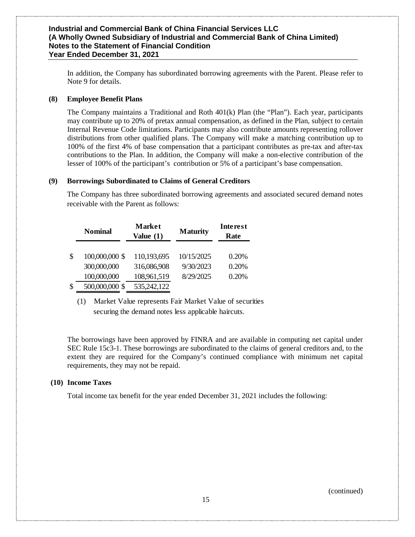In addition, the Company has subordinated borrowing agreements with the Parent. Please refer to Note 9 for details.

#### **(8) Employee Benefit Plans**

The Company maintains a Traditional and Roth 401(k) Plan (the "Plan"). Each year, participants may contribute up to 20% of pretax annual compensation, as defined in the Plan, subject to certain Internal Revenue Code limitations. Participants may also contribute amounts representing rollover distributions from other qualified plans. The Company will make a matching contribution up to 100% of the first 4% of base compensation that a participant contributes as pre-tax and after-tax contributions to the Plan. In addition, the Company will make a non-elective contribution of the lesser of 100% of the participant's contribution or 5% of a participant's base compensation.

#### **(9) Borrowings Subordinated to Claims of General Creditors**

The Company has three subordinated borrowing agreements and associated secured demand notes receivable with the Parent as follows:

| <b>Nominal</b>       | <b>Market</b><br>Value $(1)$ | <b>Maturity</b> | Interest<br>Rate |
|----------------------|------------------------------|-----------------|------------------|
| \$<br>100,000,000 \$ | 110,193,695                  | 10/15/2025      | 0.20%            |
| 300,000,000          | 316,086,908                  | 9/30/2023       | 0.20%            |
| 100,000,000          | 108,961,519                  | 8/29/2025       | 0.20%            |
| \$<br>500,000,000 \$ | 535,242,122                  |                 |                  |

(1) Market Value represents Fair Market Value of securities securing the demand notes less applicable haircuts.

The borrowings have been approved by FINRA and are available in computing net capital under SEC Rule 15c3-1. These borrowings are subordinated to the claims of general creditors and, to the extent they are required for the Company's continued compliance with minimum net capital requirements, they may not be repaid.

#### **(10) Income Taxes**

Total income tax benefit for the year ended December 31, 2021 includes the following: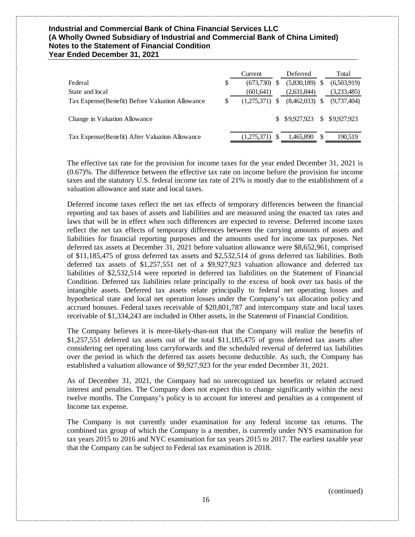|                                                  |    | Current     |    | Deferred         | Total          |
|--------------------------------------------------|----|-------------|----|------------------|----------------|
| Federal                                          | \$ | (673,730)   | S  | $(5,830,189)$ \$ | (6,503,919)    |
| State and local                                  |    | (601, 641)  |    | (2,631,844)      | (3,233,485)    |
| Tax Expense (Benefit) Before Valuation Allowance | S  | (1.275.371) | -S | $(8,462,033)$ \$ | (9.737.404)    |
| Change in Valuation Allowance                    |    |             |    | \$9.927.923      | \$ \$9,927,923 |
| Tax Expense (Benefit) After Valuation Allowance  |    | (1,275,371) |    | 1,465,890        | 190.519        |

The effective tax rate for the provision for income taxes for the year ended December 31, 2021 is (0.67)%. The difference between the effective tax rate on income before the provision for income taxes and the statutory U.S. federal income tax rate of 21% is mostly due to the establishment of a valuation allowance and state and local taxes.

Deferred income taxes reflect the net tax effects of temporary differences between the financial reporting and tax bases of assets and liabilities and are measured using the enacted tax rates and laws that will be in effect when such differences are expected to reverse. Deferred income taxes reflect the net tax effects of temporary differences between the carrying amounts of assets and liabilities for financial reporting purposes and the amounts used for income tax purposes. Net deferred tax assets at December 31, 2021 before valuation allowance were \$8,652,961, comprised of \$11,185,475 of gross deferred tax assets and \$2,532,514 of gross deferred tax liabilities. Both deferred tax assets of \$1,257,551 net of a \$9,927,923 valuation allowance and deferred tax liabilities of \$2,532,514 were reported in deferred tax liabilities on the Statement of Financial Condition. Deferred tax liabilities relate principally to the excess of book over tax basis of the intangible assets. Deferred tax assets relate principally to federal net operating losses and hypothetical state and local net operation losses under the Company's tax allocation policy and accrued bonuses. Federal taxes receivable of \$20,801,787 and intercompany state and local taxes receivable of \$1,334,243 are included in Other assets, in the Statement of Financial Condition.

The Company believes it is more-likely-than-not that the Company will realize the benefits of \$1,257,551 deferred tax assets out of the total \$11,185,475 of gross deferred tax assets after considering net operating loss carryforwards and the scheduled reversal of deferred tax liabilities over the period in which the deferred tax assets become deductible. As such, the Company has established a valuation allowance of \$9,927,923 for the year ended December 31, 2021.

As of December 31, 2021, the Company had no unrecognized tax benefits or related accrued interest and penalties. The Company does not expect this to change significantly within the next twelve months. The Company's policy is to account for interest and penalties as a component of Income tax expense.

The Company is not currently under examination for any federal income tax returns. The combined tax group of which the Company is a member, is currently under NYS examination for tax years 2015 to 2016 and NYC examination for tax years 2015 to 2017. The earliest taxable year that the Company can be subject to Federal tax examination is 2018.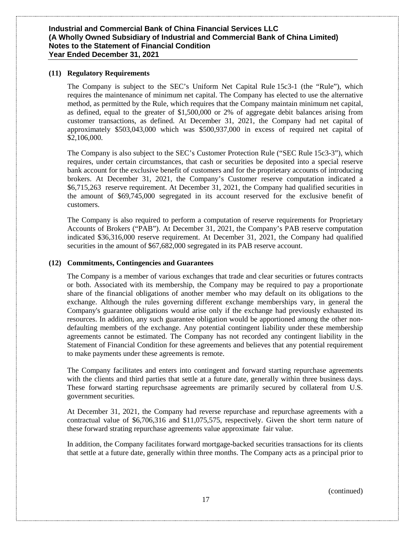#### **(11) Regulatory Requirements**

The Company is subject to the SEC's Uniform Net Capital Rule 15c3-1 (the "Rule"), which requires the maintenance of minimum net capital. The Company has elected to use the alternative method, as permitted by the Rule, which requires that the Company maintain minimum net capital, as defined, equal to the greater of \$1,500,000 or 2% of aggregate debit balances arising from customer transactions, as defined. At December 31, 2021, the Company had net capital of approximately \$503,043,000 which was \$500,937,000 in excess of required net capital of \$2,106,000.

The Company is also subject to the SEC's Customer Protection Rule ("SEC Rule 15c3-3"), which requires, under certain circumstances, that cash or securities be deposited into a special reserve bank account for the exclusive benefit of customers and for the proprietary accounts of introducing brokers. At December 31, 2021, the Company's Customer reserve computation indicated a \$6,715,263 reserve requirement. At December 31, 2021, the Company had qualified securities in the amount of \$69,745,000 segregated in its account reserved for the exclusive benefit of customers.

The Company is also required to perform a computation of reserve requirements for Proprietary Accounts of Brokers ("PAB"). At December 31, 2021, the Company's PAB reserve computation indicated \$36,316,000 reserve requirement. At December 31, 2021, the Company had qualified securities in the amount of \$67,682,000 segregated in its PAB reserve account.

#### **(12) Commitments, Contingencies and Guarantees**

The Company is a member of various exchanges that trade and clear securities or futures contracts or both. Associated with its membership, the Company may be required to pay a proportionate share of the financial obligations of another member who may default on its obligations to the exchange. Although the rules governing different exchange memberships vary, in general the Company's guarantee obligations would arise only if the exchange had previously exhausted its resources. In addition, any such guarantee obligation would be apportioned among the other nondefaulting members of the exchange. Any potential contingent liability under these membership agreements cannot be estimated. The Company has not recorded any contingent liability in the Statement of Financial Condition for these agreements and believes that any potential requirement to make payments under these agreements is remote.

The Company facilitates and enters into contingent and forward starting repurchase agreements with the clients and third parties that settle at a future date, generally within three business days. These forward starting repurchsase agreements are primarily secured by collateral from U.S. government securities.

At December 31, 2021, the Company had reverse repurchase and repurchase agreements with a contractual value of \$6,706,316 and \$11,075,575, respectively. Given the short term nature of these forward strating repurchase agreements value approximate fair value.

In addition, the Company facilitates forward mortgage-backed securities transactions for its clients that settle at a future date, generally within three months. The Company acts as a principal prior to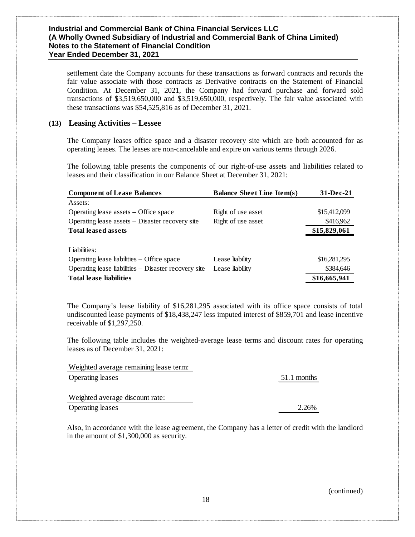settlement date the Company accounts for these transactions as forward contracts and records the fair value associate with those contracts as Derivative contracts on the Statement of Financial Condition. At December 31, 2021, the Company had forward purchase and forward sold transactions of \$3,519,650,000 and \$3,519,650,000, respectively. The fair value associated with these transactions was \$54,525,816 as of December 31, 2021.

## **(13) Leasing Activities – Lessee**

The Company leases office space and a disaster recovery site which are both accounted for as operating leases. The leases are non-cancelable and expire on various terms through 2026.

The following table presents the components of our right-of-use assets and liabilities related to leases and their classification in our Balance Sheet at December 31, 2021:

| <b>Component of Lease Balances</b>                   | <b>Balance Sheet Line Item(s)</b> | $31 - Dec-21$ |
|------------------------------------------------------|-----------------------------------|---------------|
| Assets:                                              |                                   |               |
| Operating lease assets – Office space                | Right of use asset                | \$15,412,099  |
| Operating lease assets – Disaster recovery site      | Right of use asset                | \$416,962     |
| <b>Total leased assets</b>                           |                                   | \$15,829,061  |
|                                                      |                                   |               |
| Liabilities:                                         |                                   |               |
| Operating lease liabilities – Office space           | Lease liability                   | \$16,281,295  |
| Operating lease liabilities – Disaster recovery site | Lease liability                   | \$384,646     |
| <b>Total lease liabilities</b>                       |                                   | \$16,665,941  |

The Company's lease liability of \$16,281,295 associated with its office space consists of total undiscounted lease payments of \$18,438,247 less imputed interest of \$859,701 and lease incentive receivable of \$1,297,250.

The following table includes the weighted-average lease terms and discount rates for operating leases as of December 31, 2021:

| Weighted average remaining lease term: |             |
|----------------------------------------|-------------|
| <b>Operating leases</b>                | 51.1 months |
| Weighted average discount rate:        |             |
| <b>Operating leases</b>                | 2.26%       |

Also, in accordance with the lease agreement, the Company has a letter of credit with the landlord in the amount of \$1,300,000 as security.